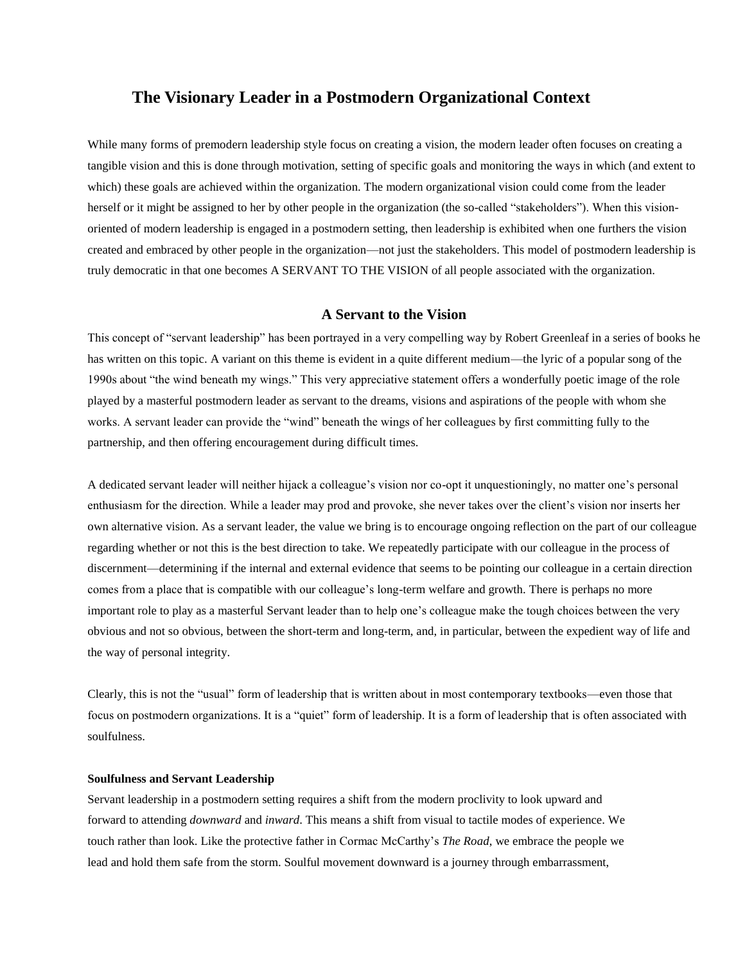# **The Visionary Leader in a Postmodern Organizational Context**

While many forms of premodern leadership style focus on creating a vision, the modern leader often focuses on creating a tangible vision and this is done through motivation, setting of specific goals and monitoring the ways in which (and extent to which) these goals are achieved within the organization. The modern organizational vision could come from the leader herself or it might be assigned to her by other people in the organization (the so-called "stakeholders"). When this visionoriented of modern leadership is engaged in a postmodern setting, then leadership is exhibited when one furthers the vision created and embraced by other people in the organization—not just the stakeholders. This model of postmodern leadership is truly democratic in that one becomes A SERVANT TO THE VISION of all people associated with the organization.

# **A Servant to the Vision**

This concept of "servant leadership" has been portrayed in a very compelling way by Robert Greenleaf in a series of books he has written on this topic. A variant on this theme is evident in a quite different medium—the lyric of a popular song of the 1990s about "the wind beneath my wings." This very appreciative statement offers a wonderfully poetic image of the role played by a masterful postmodern leader as servant to the dreams, visions and aspirations of the people with whom she works. A servant leader can provide the "wind" beneath the wings of her colleagues by first committing fully to the partnership, and then offering encouragement during difficult times.

A dedicated servant leader will neither hijack a colleague's vision nor co-opt it unquestioningly, no matter one's personal enthusiasm for the direction. While a leader may prod and provoke, she never takes over the client's vision nor inserts her own alternative vision. As a servant leader, the value we bring is to encourage ongoing reflection on the part of our colleague regarding whether or not this is the best direction to take. We repeatedly participate with our colleague in the process of discernment—determining if the internal and external evidence that seems to be pointing our colleague in a certain direction comes from a place that is compatible with our colleague's long-term welfare and growth. There is perhaps no more important role to play as a masterful Servant leader than to help one's colleague make the tough choices between the very obvious and not so obvious, between the short-term and long-term, and, in particular, between the expedient way of life and the way of personal integrity.

Clearly, this is not the "usual" form of leadership that is written about in most contemporary textbooks—even those that focus on postmodern organizations. It is a "quiet" form of leadership. It is a form of leadership that is often associated with soulfulness.

### **Soulfulness and Servant Leadership**

Servant leadership in a postmodern setting requires a shift from the modern proclivity to look upward and forward to attending *downward* and *inward*. This means a shift from visual to tactile modes of experience. We touch rather than look. Like the protective father in Cormac McCarthy's *The Road*, we embrace the people we lead and hold them safe from the storm. Soulful movement downward is a journey through embarrassment,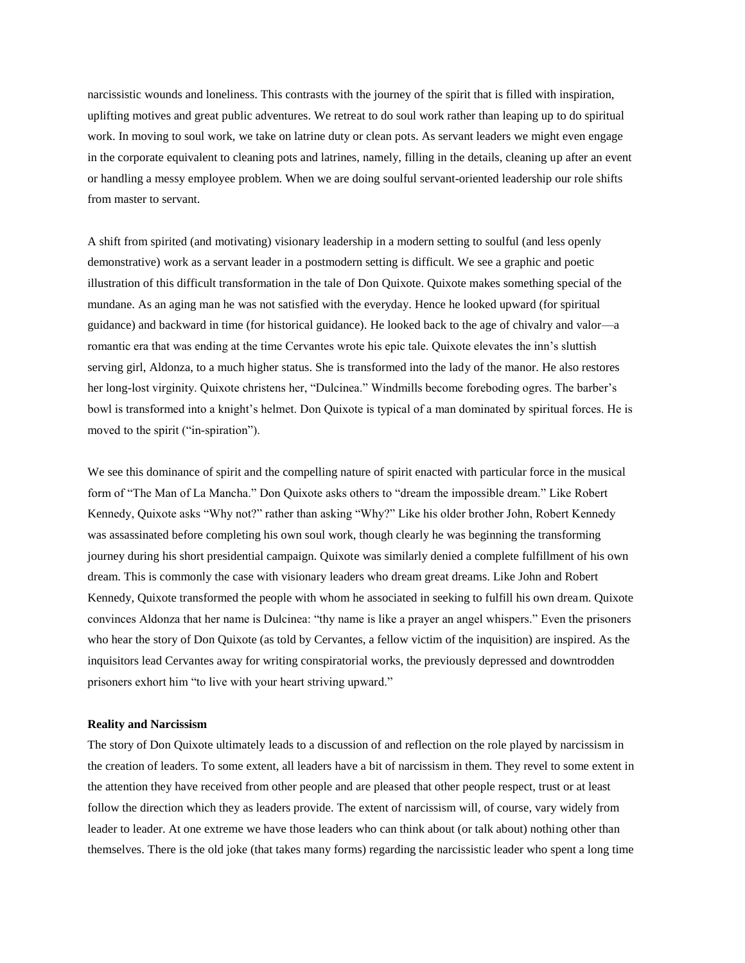narcissistic wounds and loneliness. This contrasts with the journey of the spirit that is filled with inspiration, uplifting motives and great public adventures. We retreat to do soul work rather than leaping up to do spiritual work. In moving to soul work, we take on latrine duty or clean pots. As servant leaders we might even engage in the corporate equivalent to cleaning pots and latrines, namely, filling in the details, cleaning up after an event or handling a messy employee problem. When we are doing soulful servant-oriented leadership our role shifts from master to servant.

A shift from spirited (and motivating) visionary leadership in a modern setting to soulful (and less openly demonstrative) work as a servant leader in a postmodern setting is difficult. We see a graphic and poetic illustration of this difficult transformation in the tale of Don Quixote. Quixote makes something special of the mundane. As an aging man he was not satisfied with the everyday. Hence he looked upward (for spiritual guidance) and backward in time (for historical guidance). He looked back to the age of chivalry and valor—a romantic era that was ending at the time Cervantes wrote his epic tale. Quixote elevates the inn's sluttish serving girl, Aldonza, to a much higher status. She is transformed into the lady of the manor. He also restores her long-lost virginity. Quixote christens her, "Dulcinea." Windmills become foreboding ogres. The barber's bowl is transformed into a knight's helmet. Don Quixote is typical of a man dominated by spiritual forces. He is moved to the spirit ("in-spiration").

We see this dominance of spirit and the compelling nature of spirit enacted with particular force in the musical form of "The Man of La Mancha." Don Quixote asks others to "dream the impossible dream." Like Robert Kennedy, Quixote asks "Why not?" rather than asking "Why?" Like his older brother John, Robert Kennedy was assassinated before completing his own soul work, though clearly he was beginning the transforming journey during his short presidential campaign. Quixote was similarly denied a complete fulfillment of his own dream. This is commonly the case with visionary leaders who dream great dreams. Like John and Robert Kennedy, Quixote transformed the people with whom he associated in seeking to fulfill his own dream. Quixote convinces Aldonza that her name is Dulcinea: "thy name is like a prayer an angel whispers." Even the prisoners who hear the story of Don Quixote (as told by Cervantes, a fellow victim of the inquisition) are inspired. As the inquisitors lead Cervantes away for writing conspiratorial works, the previously depressed and downtrodden prisoners exhort him "to live with your heart striving upward."

## **Reality and Narcissism**

The story of Don Quixote ultimately leads to a discussion of and reflection on the role played by narcissism in the creation of leaders. To some extent, all leaders have a bit of narcissism in them. They revel to some extent in the attention they have received from other people and are pleased that other people respect, trust or at least follow the direction which they as leaders provide. The extent of narcissism will, of course, vary widely from leader to leader. At one extreme we have those leaders who can think about (or talk about) nothing other than themselves. There is the old joke (that takes many forms) regarding the narcissistic leader who spent a long time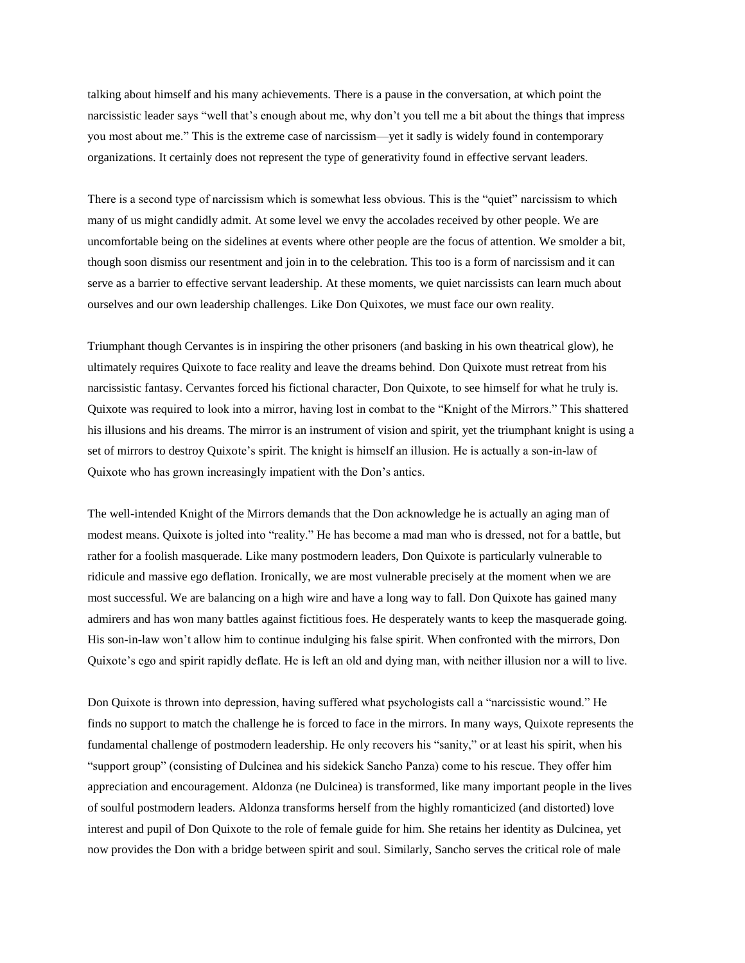talking about himself and his many achievements. There is a pause in the conversation, at which point the narcissistic leader says "well that's enough about me, why don't you tell me a bit about the things that impress you most about me." This is the extreme case of narcissism—yet it sadly is widely found in contemporary organizations. It certainly does not represent the type of generativity found in effective servant leaders.

There is a second type of narcissism which is somewhat less obvious. This is the "quiet" narcissism to which many of us might candidly admit. At some level we envy the accolades received by other people. We are uncomfortable being on the sidelines at events where other people are the focus of attention. We smolder a bit, though soon dismiss our resentment and join in to the celebration. This too is a form of narcissism and it can serve as a barrier to effective servant leadership. At these moments, we quiet narcissists can learn much about ourselves and our own leadership challenges. Like Don Quixotes, we must face our own reality.

Triumphant though Cervantes is in inspiring the other prisoners (and basking in his own theatrical glow), he ultimately requires Quixote to face reality and leave the dreams behind. Don Quixote must retreat from his narcissistic fantasy. Cervantes forced his fictional character, Don Quixote, to see himself for what he truly is. Quixote was required to look into a mirror, having lost in combat to the "Knight of the Mirrors." This shattered his illusions and his dreams. The mirror is an instrument of vision and spirit, yet the triumphant knight is using a set of mirrors to destroy Quixote's spirit. The knight is himself an illusion. He is actually a son-in-law of Quixote who has grown increasingly impatient with the Don's antics.

The well-intended Knight of the Mirrors demands that the Don acknowledge he is actually an aging man of modest means. Quixote is jolted into "reality." He has become a mad man who is dressed, not for a battle, but rather for a foolish masquerade. Like many postmodern leaders, Don Quixote is particularly vulnerable to ridicule and massive ego deflation. Ironically, we are most vulnerable precisely at the moment when we are most successful. We are balancing on a high wire and have a long way to fall. Don Quixote has gained many admirers and has won many battles against fictitious foes. He desperately wants to keep the masquerade going. His son-in-law won't allow him to continue indulging his false spirit. When confronted with the mirrors, Don Quixote's ego and spirit rapidly deflate. He is left an old and dying man, with neither illusion nor a will to live.

Don Quixote is thrown into depression, having suffered what psychologists call a "narcissistic wound." He finds no support to match the challenge he is forced to face in the mirrors. In many ways, Quixote represents the fundamental challenge of postmodern leadership. He only recovers his "sanity," or at least his spirit, when his "support group" (consisting of Dulcinea and his sidekick Sancho Panza) come to his rescue. They offer him appreciation and encouragement. Aldonza (ne Dulcinea) is transformed, like many important people in the lives of soulful postmodern leaders. Aldonza transforms herself from the highly romanticized (and distorted) love interest and pupil of Don Quixote to the role of female guide for him. She retains her identity as Dulcinea, yet now provides the Don with a bridge between spirit and soul. Similarly, Sancho serves the critical role of male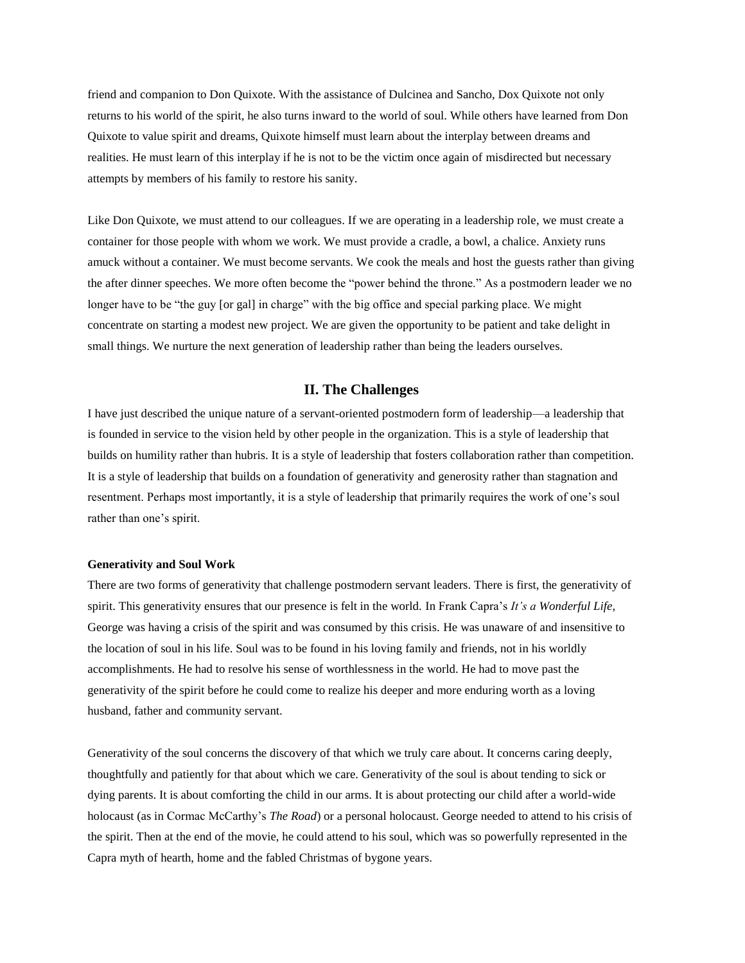friend and companion to Don Quixote. With the assistance of Dulcinea and Sancho, Dox Quixote not only returns to his world of the spirit, he also turns inward to the world of soul. While others have learned from Don Quixote to value spirit and dreams, Quixote himself must learn about the interplay between dreams and realities. He must learn of this interplay if he is not to be the victim once again of misdirected but necessary attempts by members of his family to restore his sanity.

Like Don Quixote, we must attend to our colleagues. If we are operating in a leadership role, we must create a container for those people with whom we work. We must provide a cradle, a bowl, a chalice. Anxiety runs amuck without a container. We must become servants. We cook the meals and host the guests rather than giving the after dinner speeches. We more often become the "power behind the throne." As a postmodern leader we no longer have to be "the guy [or gal] in charge" with the big office and special parking place. We might concentrate on starting a modest new project. We are given the opportunity to be patient and take delight in small things. We nurture the next generation of leadership rather than being the leaders ourselves.

## **II. The Challenges**

I have just described the unique nature of a servant-oriented postmodern form of leadership—a leadership that is founded in service to the vision held by other people in the organization. This is a style of leadership that builds on humility rather than hubris. It is a style of leadership that fosters collaboration rather than competition. It is a style of leadership that builds on a foundation of generativity and generosity rather than stagnation and resentment. Perhaps most importantly, it is a style of leadership that primarily requires the work of one's soul rather than one's spirit.

## **Generativity and Soul Work**

There are two forms of generativity that challenge postmodern servant leaders. There is first, the generativity of spirit. This generativity ensures that our presence is felt in the world. In Frank Capra's *It's a Wonderful Life,*  George was having a crisis of the spirit and was consumed by this crisis. He was unaware of and insensitive to the location of soul in his life. Soul was to be found in his loving family and friends, not in his worldly accomplishments. He had to resolve his sense of worthlessness in the world. He had to move past the generativity of the spirit before he could come to realize his deeper and more enduring worth as a loving husband, father and community servant.

Generativity of the soul concerns the discovery of that which we truly care about. It concerns caring deeply, thoughtfully and patiently for that about which we care. Generativity of the soul is about tending to sick or dying parents. It is about comforting the child in our arms. It is about protecting our child after a world-wide holocaust (as in Cormac McCarthy's *The Road*) or a personal holocaust. George needed to attend to his crisis of the spirit. Then at the end of the movie, he could attend to his soul, which was so powerfully represented in the Capra myth of hearth, home and the fabled Christmas of bygone years.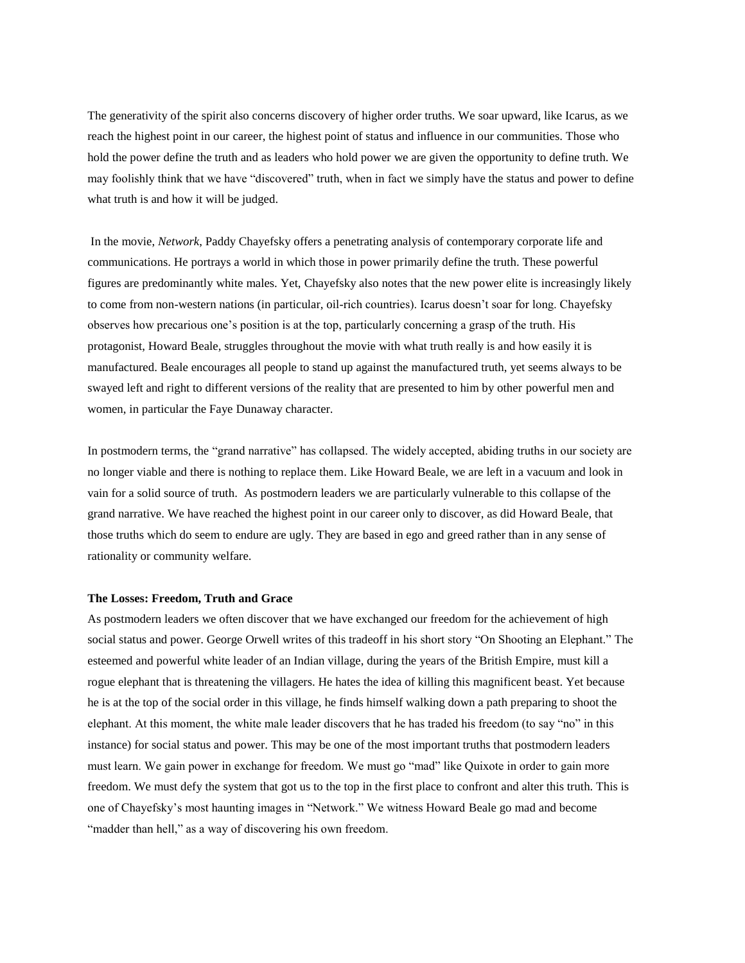The generativity of the spirit also concerns discovery of higher order truths. We soar upward, like Icarus, as we reach the highest point in our career, the highest point of status and influence in our communities. Those who hold the power define the truth and as leaders who hold power we are given the opportunity to define truth. We may foolishly think that we have "discovered" truth, when in fact we simply have the status and power to define what truth is and how it will be judged.

In the movie, *Network*, Paddy Chayefsky offers a penetrating analysis of contemporary corporate life and communications. He portrays a world in which those in power primarily define the truth. These powerful figures are predominantly white males. Yet, Chayefsky also notes that the new power elite is increasingly likely to come from non-western nations (in particular, oil-rich countries). Icarus doesn't soar for long. Chayefsky observes how precarious one's position is at the top, particularly concerning a grasp of the truth. His protagonist, Howard Beale, struggles throughout the movie with what truth really is and how easily it is manufactured. Beale encourages all people to stand up against the manufactured truth, yet seems always to be swayed left and right to different versions of the reality that are presented to him by other powerful men and women, in particular the Faye Dunaway character.

In postmodern terms, the "grand narrative" has collapsed. The widely accepted, abiding truths in our society are no longer viable and there is nothing to replace them. Like Howard Beale, we are left in a vacuum and look in vain for a solid source of truth. As postmodern leaders we are particularly vulnerable to this collapse of the grand narrative. We have reached the highest point in our career only to discover, as did Howard Beale, that those truths which do seem to endure are ugly. They are based in ego and greed rather than in any sense of rationality or community welfare.

### **The Losses: Freedom, Truth and Grace**

As postmodern leaders we often discover that we have exchanged our freedom for the achievement of high social status and power. George Orwell writes of this tradeoff in his short story "On Shooting an Elephant." The esteemed and powerful white leader of an Indian village, during the years of the British Empire, must kill a rogue elephant that is threatening the villagers. He hates the idea of killing this magnificent beast. Yet because he is at the top of the social order in this village, he finds himself walking down a path preparing to shoot the elephant. At this moment, the white male leader discovers that he has traded his freedom (to say "no" in this instance) for social status and power. This may be one of the most important truths that postmodern leaders must learn. We gain power in exchange for freedom. We must go "mad" like Quixote in order to gain more freedom. We must defy the system that got us to the top in the first place to confront and alter this truth. This is one of Chayefsky's most haunting images in "Network." We witness Howard Beale go mad and become "madder than hell," as a way of discovering his own freedom.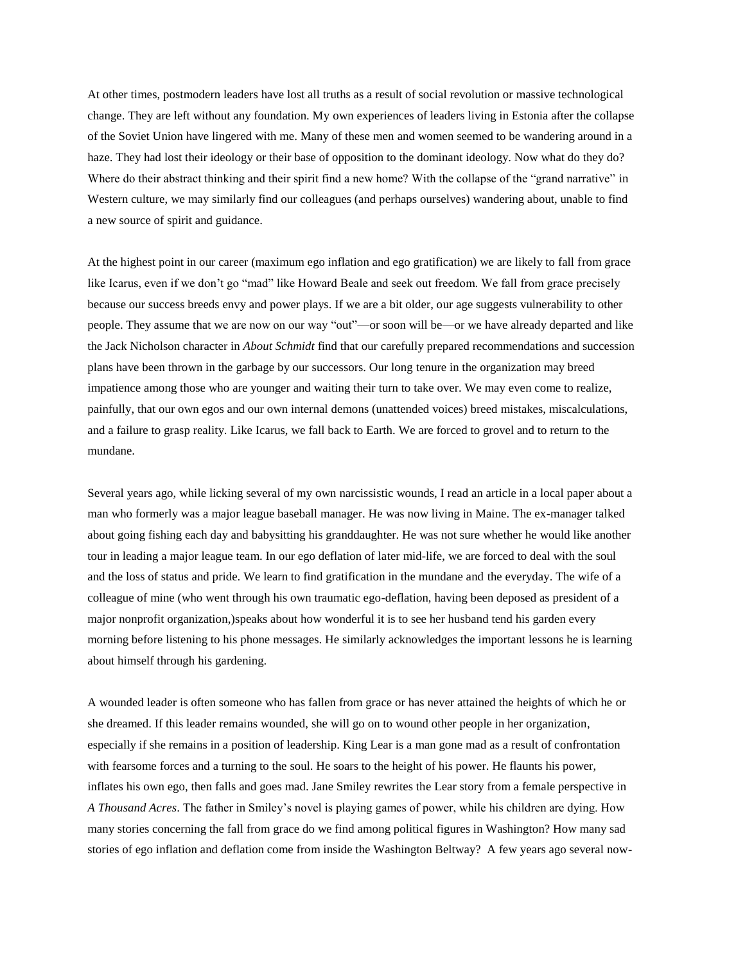At other times, postmodern leaders have lost all truths as a result of social revolution or massive technological change. They are left without any foundation. My own experiences of leaders living in Estonia after the collapse of the Soviet Union have lingered with me. Many of these men and women seemed to be wandering around in a haze. They had lost their ideology or their base of opposition to the dominant ideology. Now what do they do? Where do their abstract thinking and their spirit find a new home? With the collapse of the "grand narrative" in Western culture, we may similarly find our colleagues (and perhaps ourselves) wandering about, unable to find a new source of spirit and guidance.

At the highest point in our career (maximum ego inflation and ego gratification) we are likely to fall from grace like Icarus, even if we don't go "mad" like Howard Beale and seek out freedom. We fall from grace precisely because our success breeds envy and power plays. If we are a bit older, our age suggests vulnerability to other people. They assume that we are now on our way "out"—or soon will be—or we have already departed and like the Jack Nicholson character in *About Schmidt* find that our carefully prepared recommendations and succession plans have been thrown in the garbage by our successors. Our long tenure in the organization may breed impatience among those who are younger and waiting their turn to take over. We may even come to realize, painfully, that our own egos and our own internal demons (unattended voices) breed mistakes, miscalculations, and a failure to grasp reality. Like Icarus, we fall back to Earth. We are forced to grovel and to return to the mundane.

Several years ago, while licking several of my own narcissistic wounds, I read an article in a local paper about a man who formerly was a major league baseball manager. He was now living in Maine. The ex-manager talked about going fishing each day and babysitting his granddaughter. He was not sure whether he would like another tour in leading a major league team. In our ego deflation of later mid-life, we are forced to deal with the soul and the loss of status and pride. We learn to find gratification in the mundane and the everyday. The wife of a colleague of mine (who went through his own traumatic ego-deflation, having been deposed as president of a major nonprofit organization,)speaks about how wonderful it is to see her husband tend his garden every morning before listening to his phone messages. He similarly acknowledges the important lessons he is learning about himself through his gardening.

A wounded leader is often someone who has fallen from grace or has never attained the heights of which he or she dreamed. If this leader remains wounded, she will go on to wound other people in her organization, especially if she remains in a position of leadership. King Lear is a man gone mad as a result of confrontation with fearsome forces and a turning to the soul. He soars to the height of his power. He flaunts his power, inflates his own ego, then falls and goes mad. Jane Smiley rewrites the Lear story from a female perspective in *A Thousand Acres*. The father in Smiley's novel is playing games of power, while his children are dying. How many stories concerning the fall from grace do we find among political figures in Washington? How many sad stories of ego inflation and deflation come from inside the Washington Beltway? A few years ago several now